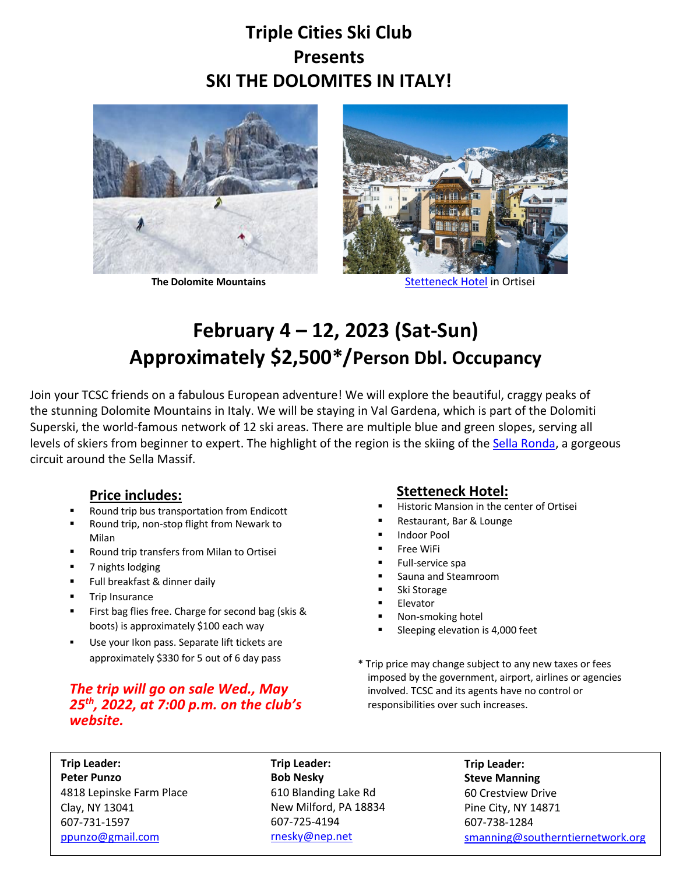## **Triple Cities Ski Club Presents SKI THE DOLOMITES IN ITALY!**





**The Dolomite Mountains Stetteneck Hotel in Ortisei** 

# **February 4 – 12, 2023 (Sat-Sun) Approximately \$2,500\*/Person Dbl. Occupancy**

Join your TCSC friends on a fabulous European adventure! We will explore the beautiful, craggy peaks of the stunning Dolomite Mountains in Italy. We will be staying in Val Gardena, which is part of the Dolomiti Superski, the world-famous network of 12 ski areas. There are multiple blue and green slopes, serving all levels of skiers from beginner to expert. The highlight of the region is the skiing of the Sella Ronda, a gorgeous circuit around the Sella Massif.

## **Price includes:**

- § Round trip bus transportation from Endicott
- § Round trip, non-stop flight from Newark to Milan
- § Round trip transfers from Milan to Ortisei
- 7 nights lodging
- Full breakfast & dinner daily
- **■** Trip Insurance
- First bag flies free. Charge for second bag (skis & boots) is approximately \$100 each way
- Use your Ikon pass. Separate lift tickets are approximately \$330 for 5 out of 6 day pass

### *The trip will go on sale Wed., May 25th, 2022, at 7:00 p.m. on the club's website.*

## **Stetteneck Hotel:**

- Historic Mansion in the center of Ortisei
- § Restaurant, Bar & Lounge
- § Indoor Pool
- § Free WiFi
- § Full-service spa
- § Sauna and Steamroom
- § Ski Storage
- **Elevator**
- § Non-smoking hotel
- § Sleeping elevation is 4,000 feet
- \* Trip price may change subject to any new taxes or fees imposed by the government, airport, airlines or agencies involved. TCSC and its agents have no control or responsibilities over such increases.

**Trip Leader: Peter Punzo** 4818 Lepinske Farm Place Clay, NY 13041 607-731-1597 ppunzo@gmail.com

**Trip Leader: Bob Nesky** 610 Blanding Lake Rd New Milford, PA 18834 607-725-4194 rnesky@nep.net

**Trip Leader: Steve Manning** 60 Crestview Drive Pine City, NY 14871 607-738-1284 smanning@southerntiernetwork.org